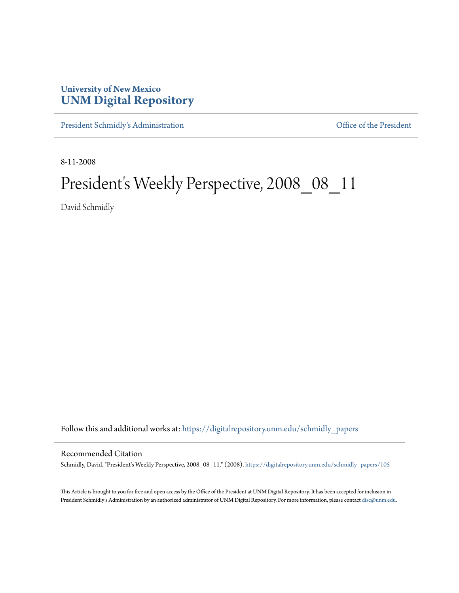# **University of New Mexico [UNM Digital Repository](https://digitalrepository.unm.edu?utm_source=digitalrepository.unm.edu%2Fschmidly_papers%2F105&utm_medium=PDF&utm_campaign=PDFCoverPages)**

[President Schmidly's Administration](https://digitalrepository.unm.edu/schmidly_papers?utm_source=digitalrepository.unm.edu%2Fschmidly_papers%2F105&utm_medium=PDF&utm_campaign=PDFCoverPages) [Office of the President](https://digitalrepository.unm.edu/ofc_president?utm_source=digitalrepository.unm.edu%2Fschmidly_papers%2F105&utm_medium=PDF&utm_campaign=PDFCoverPages)

8-11-2008

# President's Weekly Perspective, 2008\_08\_11

David Schmidly

Follow this and additional works at: [https://digitalrepository.unm.edu/schmidly\\_papers](https://digitalrepository.unm.edu/schmidly_papers?utm_source=digitalrepository.unm.edu%2Fschmidly_papers%2F105&utm_medium=PDF&utm_campaign=PDFCoverPages)

#### Recommended Citation

Schmidly, David. "President's Weekly Perspective, 2008\_08\_11." (2008). [https://digitalrepository.unm.edu/schmidly\\_papers/105](https://digitalrepository.unm.edu/schmidly_papers/105?utm_source=digitalrepository.unm.edu%2Fschmidly_papers%2F105&utm_medium=PDF&utm_campaign=PDFCoverPages)

This Article is brought to you for free and open access by the Office of the President at UNM Digital Repository. It has been accepted for inclusion in President Schmidly's Administration by an authorized administrator of UNM Digital Repository. For more information, please contact [disc@unm.edu](mailto:disc@unm.edu).